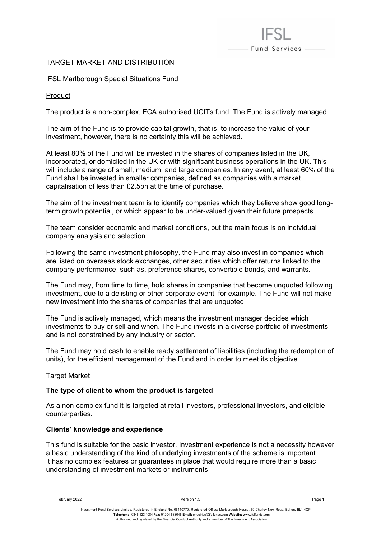# TARGET MARKET AND DISTRIBUTION

IFSL Marlborough Special Situations Fund

Product

The product is a non-complex, FCA authorised UCITs fund. The Fund is actively managed.

- Fund Services -

The aim of the Fund is to provide capital growth, that is, to increase the value of your investment, however, there is no certainty this will be achieved.

At least 80% of the Fund will be invested in the shares of companies listed in the UK, incorporated, or domiciled in the UK or with significant business operations in the UK. This will include a range of small, medium, and large companies. In any event, at least 60% of the Fund shall be invested in smaller companies, defined as companies with a market capitalisation of less than £2.5bn at the time of purchase.

The aim of the investment team is to identify companies which they believe show good longterm growth potential, or which appear to be under-valued given their future prospects.

The team consider economic and market conditions, but the main focus is on individual company analysis and selection.

Following the same investment philosophy, the Fund may also invest in companies which are listed on overseas stock exchanges, other securities which offer returns linked to the company performance, such as, preference shares, convertible bonds, and warrants.

The Fund may, from time to time, hold shares in companies that become unquoted following investment, due to a delisting or other corporate event, for example. The Fund will not make new investment into the shares of companies that are unquoted.

The Fund is actively managed, which means the investment manager decides which investments to buy or sell and when. The Fund invests in a diverse portfolio of investments and is not constrained by any industry or sector.

The Fund may hold cash to enable ready settlement of liabilities (including the redemption of units), for the efficient management of the Fund and in order to meet its objective.

# Target Market

# **The type of client to whom the product is targeted**

As a non-complex fund it is targeted at retail investors, professional investors, and eligible counterparties.

# **Clients' knowledge and experience**

This fund is suitable for the basic investor. Investment experience is not a necessity however a basic understanding of the kind of underlying investments of the scheme is important. It has no complex features or guarantees in place that would require more than a basic understanding of investment markets or instruments.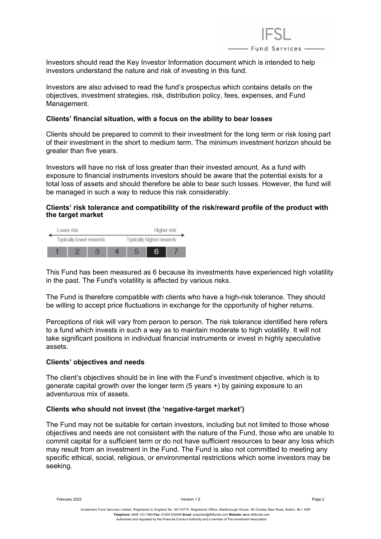

Investors should read the Key Investor Information document which is intended to help investors understand the nature and risk of investing in this fund.

Investors are also advised to read the fund's prospectus which contains details on the objectives, investment strategies, risk, distribution policy, fees, expenses, and Fund Management.

#### **Clients' financial situation, with a focus on the ability to bear losses**

Clients should be prepared to commit to their investment for the long term or risk losing part of their investment in the short to medium term. The minimum investment horizon should be greater than five years.

Investors will have no risk of loss greater than their invested amount. As a fund with exposure to financial instruments investors should be aware that the potential exists for a total loss of assets and should therefore be able to bear such losses. However, the fund will be managed in such a way to reduce this risk considerably.

# **Clients' risk tolerance and compatibility of the risk/reward profile of the product with the target market**



This Fund has been measured as 6 because its investments have experienced high volatility in the past. The Fund's volatility is affected by various risks.

The Fund is therefore compatible with clients who have a high-risk tolerance. They should be willing to accept price fluctuations in exchange for the opportunity of higher returns.

Perceptions of risk will vary from person to person. The risk tolerance identified here refers to a fund which invests in such a way as to maintain moderate to high volatility. It will not take significant positions in individual financial instruments or invest in highly speculative assets.

#### **Clients' objectives and needs**

The client's objectives should be in line with the Fund's investment objective, which is to generate capital growth over the longer term (5 years +) by gaining exposure to an adventurous mix of assets.

#### **Clients who should not invest (the 'negative-target market')**

The Fund may not be suitable for certain investors, including but not limited to those whose objectives and needs are not consistent with the nature of the Fund, those who are unable to commit capital for a sufficient term or do not have sufficient resources to bear any loss which may result from an investment in the Fund. The Fund is also not committed to meeting any specific ethical, social, religious, or environmental restrictions which some investors may be seeking.